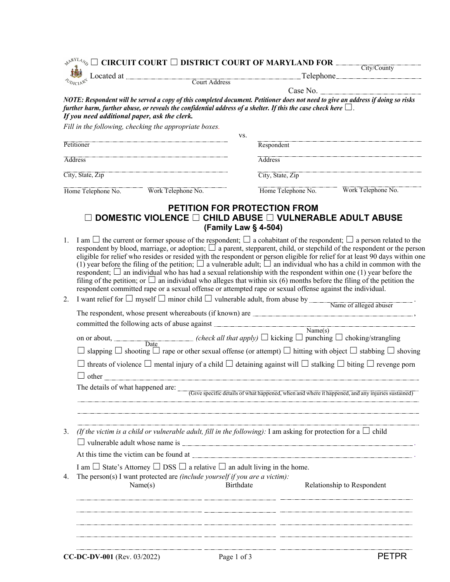|                                              | $\Box$ CIRCUIT COURT $\Box$ DISTRICT COURT OF MARYLAND FOR $\Box$                                                     |     |                                                             |                                                                                                                                                                                                                                                                                                                                                                                                                                                                                                                                                                                                                                                                     |
|----------------------------------------------|-----------------------------------------------------------------------------------------------------------------------|-----|-------------------------------------------------------------|---------------------------------------------------------------------------------------------------------------------------------------------------------------------------------------------------------------------------------------------------------------------------------------------------------------------------------------------------------------------------------------------------------------------------------------------------------------------------------------------------------------------------------------------------------------------------------------------------------------------------------------------------------------------|
|                                              |                                                                                                                       |     |                                                             | City/County                                                                                                                                                                                                                                                                                                                                                                                                                                                                                                                                                                                                                                                         |
| Located at                                   | Un .<br>Court Address                                                                                                 |     |                                                             | Telephone                                                                                                                                                                                                                                                                                                                                                                                                                                                                                                                                                                                                                                                           |
|                                              |                                                                                                                       |     | Case No.                                                    |                                                                                                                                                                                                                                                                                                                                                                                                                                                                                                                                                                                                                                                                     |
|                                              |                                                                                                                       |     |                                                             |                                                                                                                                                                                                                                                                                                                                                                                                                                                                                                                                                                                                                                                                     |
|                                              | further harm, further abuse, or reveals the confidential address of a shelter. If this the case check here $\Box$ .   |     |                                                             | NOTE: Respondent will be served a copy of this completed document. Petitioner does not need to give an address if doing so risks                                                                                                                                                                                                                                                                                                                                                                                                                                                                                                                                    |
| If you need additional paper, ask the clerk. |                                                                                                                       |     |                                                             |                                                                                                                                                                                                                                                                                                                                                                                                                                                                                                                                                                                                                                                                     |
|                                              | Fill in the following, checking the appropriate boxes.                                                                |     |                                                             |                                                                                                                                                                                                                                                                                                                                                                                                                                                                                                                                                                                                                                                                     |
|                                              |                                                                                                                       | VS. |                                                             |                                                                                                                                                                                                                                                                                                                                                                                                                                                                                                                                                                                                                                                                     |
| Petitioner                                   |                                                                                                                       |     | Respondent                                                  |                                                                                                                                                                                                                                                                                                                                                                                                                                                                                                                                                                                                                                                                     |
| <b>Address</b>                               |                                                                                                                       |     | <b>Address</b>                                              |                                                                                                                                                                                                                                                                                                                                                                                                                                                                                                                                                                                                                                                                     |
| City, State, Zip                             |                                                                                                                       |     | City, State, Zip                                            |                                                                                                                                                                                                                                                                                                                                                                                                                                                                                                                                                                                                                                                                     |
| Home Telephone No.                           | Work Telephone No.                                                                                                    |     | Home Telephone No.                                          | Work Telephone No.                                                                                                                                                                                                                                                                                                                                                                                                                                                                                                                                                                                                                                                  |
|                                              | DOMESTIC VIOLENCE □ CHILD ABUSE □ VULNERABLE ADULT ABUSE                                                              |     | <b>PETITION FOR PROTECTION FROM</b><br>(Family Law § 4-504) |                                                                                                                                                                                                                                                                                                                                                                                                                                                                                                                                                                                                                                                                     |
| 1.                                           | respondent; $\Box$ an individual who has had a sexual relationship with the respondent within one (1) year before the |     |                                                             | I am $\Box$ the current or former spouse of the respondent; $\Box$ a cohabitant of the respondent; $\Box$ a person related to the<br>respondent by blood, marriage, or adoption; $\Box$ a parent, stepparent, child, or stepchild of the respondent or the person<br>eligible for relief who resides or resided with the respondent or person eligible for relief for at least 90 days within one<br>(1) year before the filing of the petition; $\Box$ a vulnerable adult; $\Box$ an individual who has a child in common with the<br>filing of the petition; or $\Box$ an individual who alleges that within six (6) months before the filing of the petition the |

| 2. | I want relief for $\Box$ myself $\Box$ minor child $\Box$ vulnerable adult, from abuse by $\Box$ Name of alleged abuser             |  |  |  |  |  |
|----|-------------------------------------------------------------------------------------------------------------------------------------|--|--|--|--|--|
|    |                                                                                                                                     |  |  |  |  |  |
|    | committed the following acts of abuse against $\frac{Name(s)}{s}$                                                                   |  |  |  |  |  |
|    | on or about, Date ( <i>check all that apply</i> ) $\Box$ kicking $\Box$ punching $\Box$ choking/strangling                          |  |  |  |  |  |
|    | slapping $\Box$ shooting $\Box$ rape or other sexual offense (or attempt) $\Box$ hitting with object $\Box$ stabbing $\Box$ shoving |  |  |  |  |  |
|    | threats of violence $\Box$ mental injury of a child $\Box$ detaining against will $\Box$ stalking $\Box$ biting $\Box$ revenge porn |  |  |  |  |  |
|    |                                                                                                                                     |  |  |  |  |  |
|    | The details of what happened are: (Give specific details of what happened, when and where it happened, and any injuries sustained)  |  |  |  |  |  |
|    |                                                                                                                                     |  |  |  |  |  |
| 3. | (If the victim is a child or vulnerable adult, fill in the following): I am asking for protection for a $\Box$ child                |  |  |  |  |  |
|    |                                                                                                                                     |  |  |  |  |  |
|    |                                                                                                                                     |  |  |  |  |  |
|    | I am $\Box$ State's Attorney $\Box$ DSS $\Box$ a relative $\Box$ an adult living in the home.                                       |  |  |  |  |  |
| 4. | The person(s) I want protected are (include yourself if you are a victim):<br>Relationship to Respondent<br>Name(s)<br>Birthdate    |  |  |  |  |  |
|    |                                                                                                                                     |  |  |  |  |  |
|    |                                                                                                                                     |  |  |  |  |  |
|    |                                                                                                                                     |  |  |  |  |  |

respondent committed rape or a sexual offense or attempted rape or sexual offense against the individual.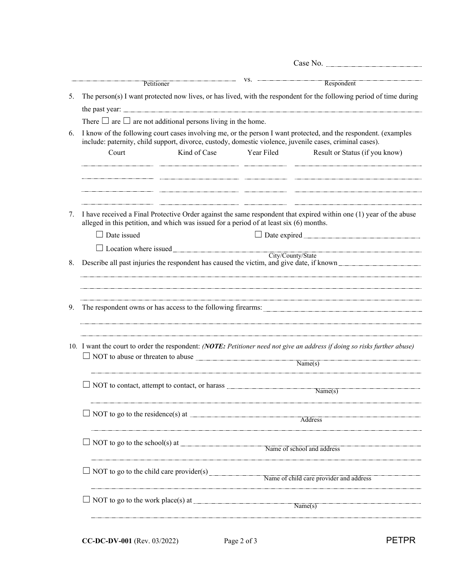| $VS.$ -<br>Respondent<br>Petitioner<br>The person(s) I want protected now lives, or has lived, with the respondent for the following period of time during<br>5.<br>There $\Box$ are $\Box$ are not additional persons living in the home.<br>I know of the following court cases involving me, or the person I want protected, and the respondent. (examples<br>6.<br>include: paternity, child support, divorce, custody, domestic violence, juvenile cases, criminal cases).<br>Kind of Case<br>Year Filed<br>Court<br>Result or Status (if you know)<br>,一个人的人都不能在这里,我们的人都不能在这里,我们就会不能在这里,我们就会不能在这里,我们就会不能在这里的人,我们就会不能在这里的人,我们就会不能在这里的人,<br>第一百一十一章 我们的人,我们就会不能在这里的人,我们就会不能在这里的人,我们就会不能在这里的人,我们就会不能在这里的人,我们就会不能在这里的人,我们就会不能在<br>I have received a Final Protective Order against the same respondent that expired within one (1) year of the abuse<br>7.<br>alleged in this petition, and which was issued for a period of at least six (6) months.<br>$\Box$ Date issued<br>□ Date expired <u>Date is a series</u><br>□ Location where issued<br>City/County/State<br>Describe all past injuries the respondent has caused the victim, and give date, if known<br>8.<br>,我们就会在这里的时候,我们就会在这里的时候,我们就会在这里的时候,我们就会在这里的时候,我们就会在这里的时候,我们就会在这里的时候,我们就会在这里的时候,我们<br>The respondent owns or has access to the following firearms: North American Community of the respondent owns or has access to the following firearms:<br>9.<br>10. I want the court to order the respondent: (NOTE: Petitioner need not give an address if doing so risks further abuse)<br>NOT to abuse or threaten to abuse<br>$\overline{\text{Name}(s)}$<br>NOT to contact, attempt to contact, or harass<br>$\overline{\text{Name(s)}}$<br>$\Box$ NOT to go to the residence(s) at $\Box$<br>Address<br>NOT to go to the school(s) at $\frac{1}{\sqrt{1-\frac{1}{n}}}\sqrt{\frac{1}{n}}$ Name of school and address<br>NOT to go to the child care provider(s)<br>Name of child care provider and address<br>NOT to go to the work place(s) at $\frac{1}{\sqrt{1-\frac{1}{\sqrt{1-\frac{1}{\sqrt{1-\frac{1}{\sqrt{1-\frac{1}{\sqrt{1-\frac{1}{\sqrt{1-\frac{1}{\sqrt{1-\frac{1}{\sqrt{1-\frac{1}{\sqrt{1-\frac{1}{\sqrt{1-\frac{1}{\sqrt{1-\frac{1}{\sqrt{1-\frac{1}{\sqrt{1-\frac{1}{\sqrt{1-\frac{1}{\sqrt{1-\frac{1}{\sqrt{1-\frac{1}{\sqrt{1-\frac{1}{\sqrt{1-\frac{1}{\sqrt{1-\frac{1}{\sqrt{1-\frac{1}{\$<br>Name(s) |  |  |  |  |  |  |  |
|--------------------------------------------------------------------------------------------------------------------------------------------------------------------------------------------------------------------------------------------------------------------------------------------------------------------------------------------------------------------------------------------------------------------------------------------------------------------------------------------------------------------------------------------------------------------------------------------------------------------------------------------------------------------------------------------------------------------------------------------------------------------------------------------------------------------------------------------------------------------------------------------------------------------------------------------------------------------------------------------------------------------------------------------------------------------------------------------------------------------------------------------------------------------------------------------------------------------------------------------------------------------------------------------------------------------------------------------------------------------------------------------------------------------------------------------------------------------------------------------------------------------------------------------------------------------------------------------------------------------------------------------------------------------------------------------------------------------------------------------------------------------------------------------------------------------------------------------------------------------------------------------------------------------------------------------------------------------------------------------------------------------------------------------------------------------------------------------------------------------------------------------------------------------------------------------------------------------------------------------------------------------------------------------------------------------------------------------------------------------------------------------------|--|--|--|--|--|--|--|
|                                                                                                                                                                                                                                                                                                                                                                                                                                                                                                                                                                                                                                                                                                                                                                                                                                                                                                                                                                                                                                                                                                                                                                                                                                                                                                                                                                                                                                                                                                                                                                                                                                                                                                                                                                                                                                                                                                                                                                                                                                                                                                                                                                                                                                                                                                                                                                                                  |  |  |  |  |  |  |  |
|                                                                                                                                                                                                                                                                                                                                                                                                                                                                                                                                                                                                                                                                                                                                                                                                                                                                                                                                                                                                                                                                                                                                                                                                                                                                                                                                                                                                                                                                                                                                                                                                                                                                                                                                                                                                                                                                                                                                                                                                                                                                                                                                                                                                                                                                                                                                                                                                  |  |  |  |  |  |  |  |
|                                                                                                                                                                                                                                                                                                                                                                                                                                                                                                                                                                                                                                                                                                                                                                                                                                                                                                                                                                                                                                                                                                                                                                                                                                                                                                                                                                                                                                                                                                                                                                                                                                                                                                                                                                                                                                                                                                                                                                                                                                                                                                                                                                                                                                                                                                                                                                                                  |  |  |  |  |  |  |  |
|                                                                                                                                                                                                                                                                                                                                                                                                                                                                                                                                                                                                                                                                                                                                                                                                                                                                                                                                                                                                                                                                                                                                                                                                                                                                                                                                                                                                                                                                                                                                                                                                                                                                                                                                                                                                                                                                                                                                                                                                                                                                                                                                                                                                                                                                                                                                                                                                  |  |  |  |  |  |  |  |
|                                                                                                                                                                                                                                                                                                                                                                                                                                                                                                                                                                                                                                                                                                                                                                                                                                                                                                                                                                                                                                                                                                                                                                                                                                                                                                                                                                                                                                                                                                                                                                                                                                                                                                                                                                                                                                                                                                                                                                                                                                                                                                                                                                                                                                                                                                                                                                                                  |  |  |  |  |  |  |  |
|                                                                                                                                                                                                                                                                                                                                                                                                                                                                                                                                                                                                                                                                                                                                                                                                                                                                                                                                                                                                                                                                                                                                                                                                                                                                                                                                                                                                                                                                                                                                                                                                                                                                                                                                                                                                                                                                                                                                                                                                                                                                                                                                                                                                                                                                                                                                                                                                  |  |  |  |  |  |  |  |
|                                                                                                                                                                                                                                                                                                                                                                                                                                                                                                                                                                                                                                                                                                                                                                                                                                                                                                                                                                                                                                                                                                                                                                                                                                                                                                                                                                                                                                                                                                                                                                                                                                                                                                                                                                                                                                                                                                                                                                                                                                                                                                                                                                                                                                                                                                                                                                                                  |  |  |  |  |  |  |  |
|                                                                                                                                                                                                                                                                                                                                                                                                                                                                                                                                                                                                                                                                                                                                                                                                                                                                                                                                                                                                                                                                                                                                                                                                                                                                                                                                                                                                                                                                                                                                                                                                                                                                                                                                                                                                                                                                                                                                                                                                                                                                                                                                                                                                                                                                                                                                                                                                  |  |  |  |  |  |  |  |
|                                                                                                                                                                                                                                                                                                                                                                                                                                                                                                                                                                                                                                                                                                                                                                                                                                                                                                                                                                                                                                                                                                                                                                                                                                                                                                                                                                                                                                                                                                                                                                                                                                                                                                                                                                                                                                                                                                                                                                                                                                                                                                                                                                                                                                                                                                                                                                                                  |  |  |  |  |  |  |  |
|                                                                                                                                                                                                                                                                                                                                                                                                                                                                                                                                                                                                                                                                                                                                                                                                                                                                                                                                                                                                                                                                                                                                                                                                                                                                                                                                                                                                                                                                                                                                                                                                                                                                                                                                                                                                                                                                                                                                                                                                                                                                                                                                                                                                                                                                                                                                                                                                  |  |  |  |  |  |  |  |
|                                                                                                                                                                                                                                                                                                                                                                                                                                                                                                                                                                                                                                                                                                                                                                                                                                                                                                                                                                                                                                                                                                                                                                                                                                                                                                                                                                                                                                                                                                                                                                                                                                                                                                                                                                                                                                                                                                                                                                                                                                                                                                                                                                                                                                                                                                                                                                                                  |  |  |  |  |  |  |  |
|                                                                                                                                                                                                                                                                                                                                                                                                                                                                                                                                                                                                                                                                                                                                                                                                                                                                                                                                                                                                                                                                                                                                                                                                                                                                                                                                                                                                                                                                                                                                                                                                                                                                                                                                                                                                                                                                                                                                                                                                                                                                                                                                                                                                                                                                                                                                                                                                  |  |  |  |  |  |  |  |
|                                                                                                                                                                                                                                                                                                                                                                                                                                                                                                                                                                                                                                                                                                                                                                                                                                                                                                                                                                                                                                                                                                                                                                                                                                                                                                                                                                                                                                                                                                                                                                                                                                                                                                                                                                                                                                                                                                                                                                                                                                                                                                                                                                                                                                                                                                                                                                                                  |  |  |  |  |  |  |  |
|                                                                                                                                                                                                                                                                                                                                                                                                                                                                                                                                                                                                                                                                                                                                                                                                                                                                                                                                                                                                                                                                                                                                                                                                                                                                                                                                                                                                                                                                                                                                                                                                                                                                                                                                                                                                                                                                                                                                                                                                                                                                                                                                                                                                                                                                                                                                                                                                  |  |  |  |  |  |  |  |
|                                                                                                                                                                                                                                                                                                                                                                                                                                                                                                                                                                                                                                                                                                                                                                                                                                                                                                                                                                                                                                                                                                                                                                                                                                                                                                                                                                                                                                                                                                                                                                                                                                                                                                                                                                                                                                                                                                                                                                                                                                                                                                                                                                                                                                                                                                                                                                                                  |  |  |  |  |  |  |  |
|                                                                                                                                                                                                                                                                                                                                                                                                                                                                                                                                                                                                                                                                                                                                                                                                                                                                                                                                                                                                                                                                                                                                                                                                                                                                                                                                                                                                                                                                                                                                                                                                                                                                                                                                                                                                                                                                                                                                                                                                                                                                                                                                                                                                                                                                                                                                                                                                  |  |  |  |  |  |  |  |
|                                                                                                                                                                                                                                                                                                                                                                                                                                                                                                                                                                                                                                                                                                                                                                                                                                                                                                                                                                                                                                                                                                                                                                                                                                                                                                                                                                                                                                                                                                                                                                                                                                                                                                                                                                                                                                                                                                                                                                                                                                                                                                                                                                                                                                                                                                                                                                                                  |  |  |  |  |  |  |  |
|                                                                                                                                                                                                                                                                                                                                                                                                                                                                                                                                                                                                                                                                                                                                                                                                                                                                                                                                                                                                                                                                                                                                                                                                                                                                                                                                                                                                                                                                                                                                                                                                                                                                                                                                                                                                                                                                                                                                                                                                                                                                                                                                                                                                                                                                                                                                                                                                  |  |  |  |  |  |  |  |
|                                                                                                                                                                                                                                                                                                                                                                                                                                                                                                                                                                                                                                                                                                                                                                                                                                                                                                                                                                                                                                                                                                                                                                                                                                                                                                                                                                                                                                                                                                                                                                                                                                                                                                                                                                                                                                                                                                                                                                                                                                                                                                                                                                                                                                                                                                                                                                                                  |  |  |  |  |  |  |  |
|                                                                                                                                                                                                                                                                                                                                                                                                                                                                                                                                                                                                                                                                                                                                                                                                                                                                                                                                                                                                                                                                                                                                                                                                                                                                                                                                                                                                                                                                                                                                                                                                                                                                                                                                                                                                                                                                                                                                                                                                                                                                                                                                                                                                                                                                                                                                                                                                  |  |  |  |  |  |  |  |